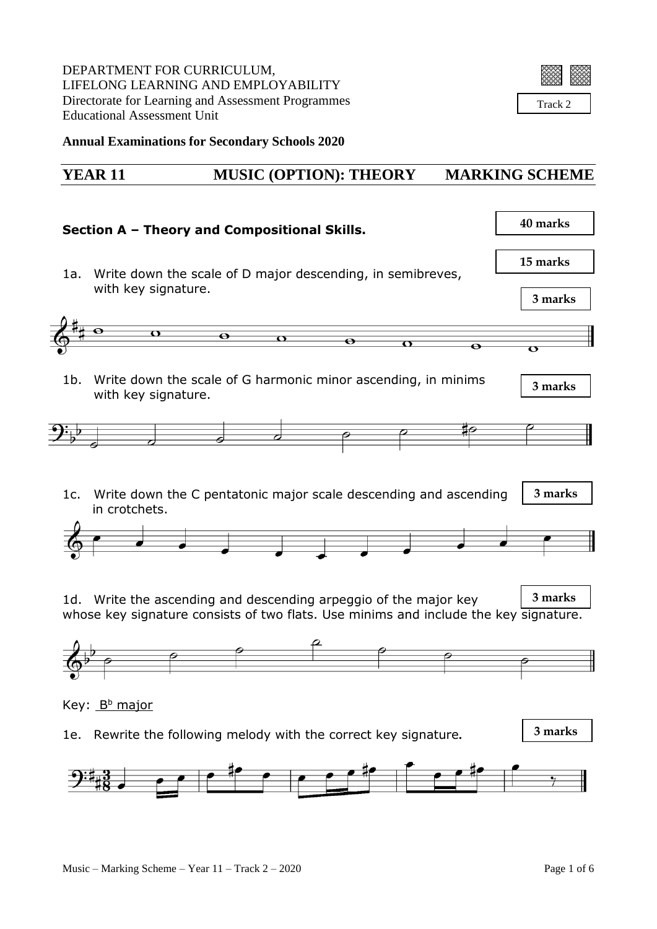DEPARTMENT FOR CURRICULUM, LIFELONG LEARNING AND EMPLOYABILITY Directorate for Learning and Assessment Programmes Educational Assessment Unit



Track 2

ł.

**Annual Examinations for Secondary Schools 2020**

## **YEAR 11 MUSIC (OPTION): THEORY MARKING SCHEME**

| Section A - Theory and Compositional Skills. |                                                                                                                                                           |                                                 |           |                         | 40 marks                |
|----------------------------------------------|-----------------------------------------------------------------------------------------------------------------------------------------------------------|-------------------------------------------------|-----------|-------------------------|-------------------------|
| 1a.                                          | Write down the scale of D major descending, in semibreves,<br>with key signature.                                                                         |                                                 |           |                         | 15 marks<br>3 marks     |
|                                              | $\overline{\mathbf{Q}}$                                                                                                                                   | $\overline{\bullet}$<br>$\overline{\mathbf{u}}$ |           |                         |                         |
|                                              |                                                                                                                                                           |                                                 | $\bullet$ | $\overline{\mathbf{O}}$ | $\overline{\mathbf{o}}$ |
| $1b$ .                                       | Write down the scale of G harmonic minor ascending, in minims<br>with key signature.                                                                      |                                                 |           |                         | 3 marks                 |
|                                              |                                                                                                                                                           |                                                 |           |                         |                         |
|                                              |                                                                                                                                                           | $\overrightarrow{\boldsymbol{\phi}}$            |           |                         |                         |
|                                              | 1c. Write down the C pentatonic major scale descending and ascending<br>in crotchets.<br>1d. Write the ascending and descending arpeggio of the major key | $\frac{1}{2}$ and $\frac{1}{2}$                 |           |                         | 3 marks<br>3 marks      |
|                                              | whose key signature consists of two flats. Use minims and include the key signature.                                                                      |                                                 |           |                         |                         |
|                                              |                                                                                                                                                           |                                                 |           |                         |                         |
|                                              |                                                                                                                                                           |                                                 |           |                         |                         |
|                                              |                                                                                                                                                           |                                                 |           |                         |                         |
|                                              | Key: <u>Bʰ major</u>                                                                                                                                      |                                                 |           |                         |                         |
| 1e.                                          | Rewrite the following melody with the correct key signature.                                                                                              |                                                 |           |                         | 3 marks                 |
|                                              |                                                                                                                                                           | $\overline{\phantom{a}}$                        |           |                         |                         |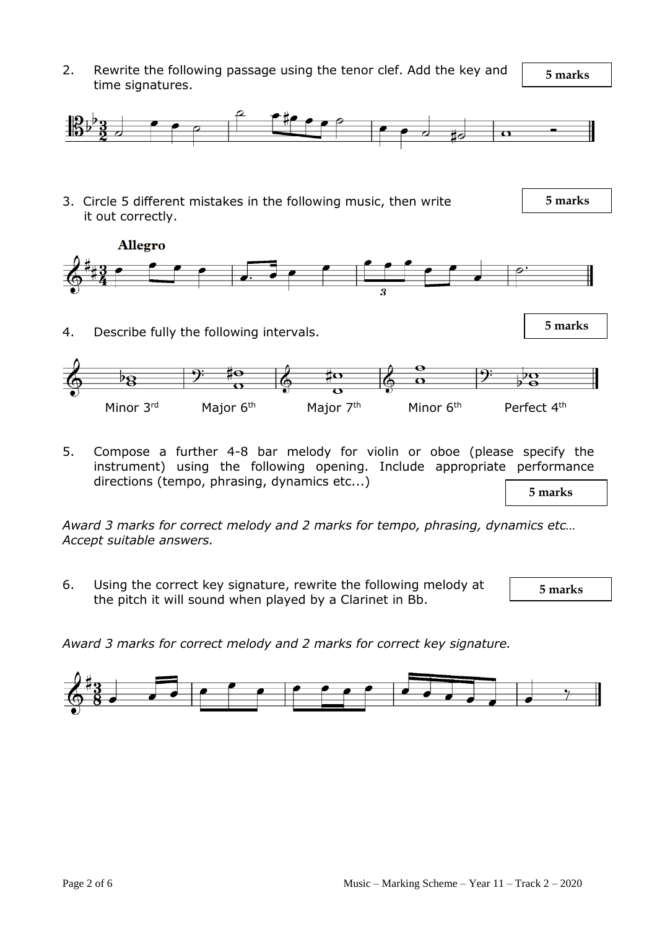2. Rewrite the following passage using the tenor clef. Add the key and time signatures.

 **5 marks**



5. Compose a further 4-8 bar melody for violin or oboe (please specify the instrument) using the following opening. Include appropriate performance directions (tempo, phrasing, dynamics etc...)

 **5 marks**

*Award 3 marks for correct melody and 2 marks for tempo, phrasing, dynamics etc… Accept suitable answers.*

6. Using the correct key signature, rewrite the following melody at the pitch it will sound when played by a Clarinet in Bb.

 **5 marks**

*Award 3 marks for correct melody and 2 marks for correct key signature.*

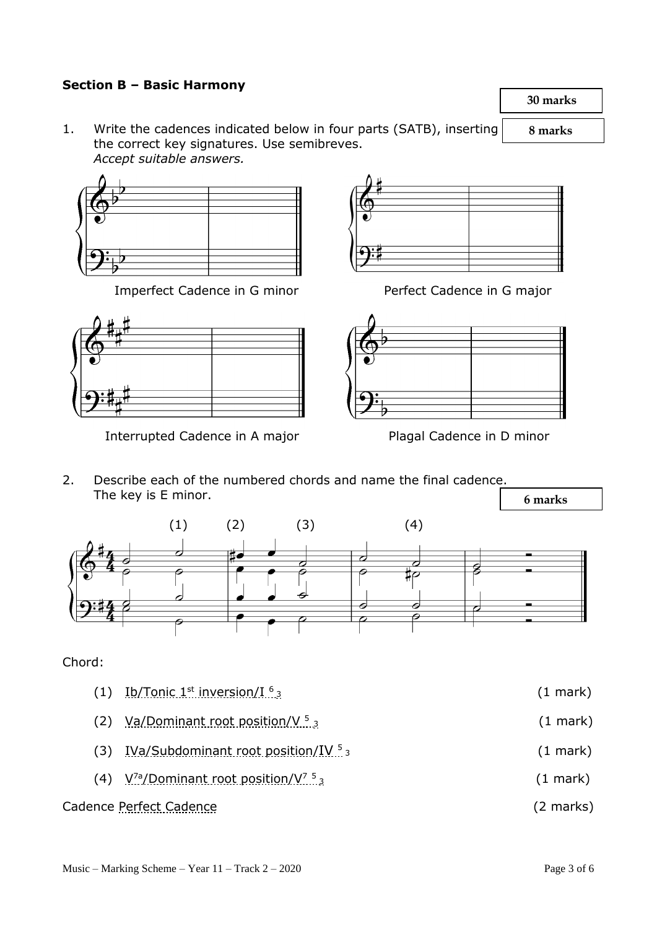## **Section B – Basic Harmony**

1. Write the cadences indicated below in four parts (SATB), inserting the correct key signatures. Use semibreves. *Accept suitable answers.*



Imperfect Cadence in G minor Perfect Cadence in G major



Interrupted Cadence in A major Plagal Cadence in D minor





2. Describe each of the numbered chords and name the final cadence. The key is E minor.



## Chord:

 $(1)$  Ib/Tonic 1<sup>st</sup> inversion/I<sup>6</sup>  $(1$  mark $)$ (2) Va/Dominant root position/V  $5\frac{1}{3}$  $(1$  mark) (3) IVa/Subdominant root position/IV  $5<sub>3</sub>$  $(1$  mark) (4) V<sup>7a</sup>/Dominant root position/V<sup>7</sup><sup>5</sup>  $(1$  mark)

## Cadence Perfect Cadence (2 marks)

 **30 marks**

 **8 marks**

 **6 marks**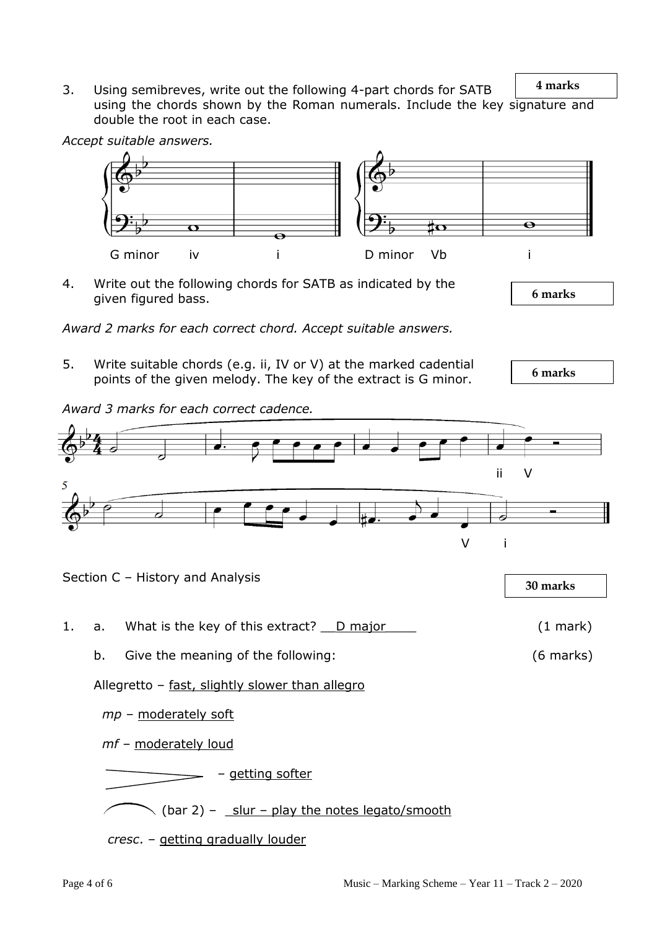**4 marks** 3. Using semibreves, write out the following 4-part chords for SATB using the chords shown by the Roman numerals. Include the key signature and double the root in each case.

*Accept suitable answers.*



4. Write out the following chords for SATB as indicated by the given figured bass.

*Award 2 marks for each correct chord. Accept suitable answers.*

5. Write suitable chords (e.g. ii, IV or V) at the marked cadential points of the given melody. The key of the extract is G minor.

 **6 marks**

 **6 marks**

*Award 3 marks for each correct cadence.* 

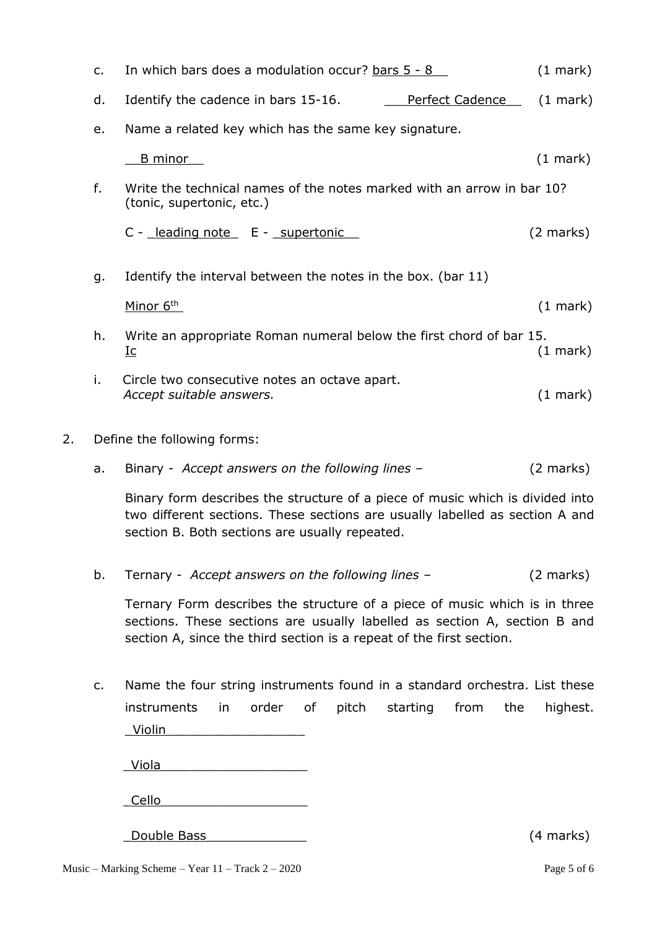|    | $C_{\bullet}$ | In which bars does a modulation occur? bars 5 - 8                                                   |                    |  |  |  |  |  |
|----|---------------|-----------------------------------------------------------------------------------------------------|--------------------|--|--|--|--|--|
|    | d.            | Identify the cadence in bars 15-16.<br>Perfect Cadence                                              | $(1 \text{ mark})$ |  |  |  |  |  |
|    | e.            | Name a related key which has the same key signature.                                                |                    |  |  |  |  |  |
|    |               | <u>B minor</u>                                                                                      | $(1 \text{ mark})$ |  |  |  |  |  |
|    | f.            | Write the technical names of the notes marked with an arrow in bar 10?<br>(tonic, supertonic, etc.) |                    |  |  |  |  |  |
|    |               | C - leading note E - supertonic                                                                     | (2 marks)          |  |  |  |  |  |
|    | g.            | Identify the interval between the notes in the box. (bar 11)                                        |                    |  |  |  |  |  |
|    |               | Minor 6th                                                                                           | $(1 \text{ mark})$ |  |  |  |  |  |
|    | h.            | Write an appropriate Roman numeral below the first chord of bar 15.<br><u>Ic</u>                    | $(1 \text{ mark})$ |  |  |  |  |  |
|    | i.            | Circle two consecutive notes an octave apart.<br>Accept suitable answers.                           | $(1 \text{ mark})$ |  |  |  |  |  |
| 2. |               | Define the following forms:                                                                         |                    |  |  |  |  |  |

a. Binary - *Accept answers on the following lines –* (2 marks)

Binary form describes the structure of a piece of music which is divided into two different sections. These sections are usually labelled as section A and section B. Both sections are usually repeated.

b. Ternary - *Accept answers on the following lines –* (2 marks)

Ternary Form describes the structure of a piece of music which is in three sections. These sections are usually labelled as section A, section B and section A, since the third section is a repeat of the first section.

c. Name the four string instruments found in a standard orchestra. List these instruments in order of pitch starting from the highest. \_Violin\_\_\_\_\_\_\_\_\_\_\_\_\_\_\_\_\_\_

\_Viola\_\_\_\_\_\_\_\_\_\_\_\_\_\_\_\_\_\_\_

\_Cello\_\_\_\_\_\_\_\_\_\_\_\_\_\_\_\_\_\_\_

\_Double Bass\_\_\_\_\_\_\_\_\_\_\_\_\_ (4 marks)